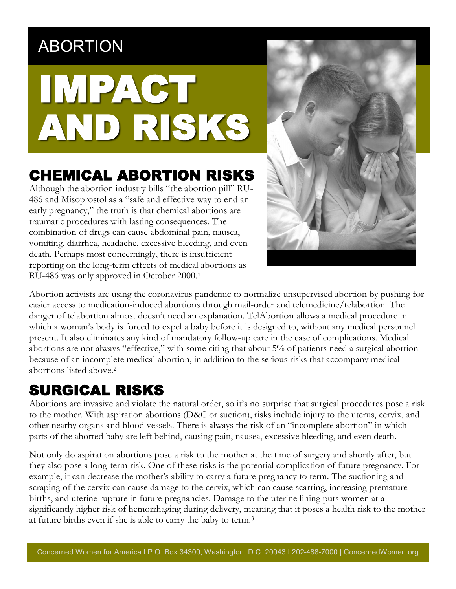## $\overline{A}$ ABORTION

# IMPACT AND RISKS

# CHEMICAL ABORTION RISKS

Although the abortion industry bills "the abortion pill" RU-486 and Misoprostol as a "safe and effective way to end an early pregnancy," the truth is that chemical abortions are traumatic procedures with lasting consequences. The combination of drugs can cause abdominal pain, nausea, vomiting, diarrhea, headache, excessive bleeding, and even death. Perhaps most concerningly, there is insufficient reporting on the long-term effects of medical abortions as RU-486 was only approved in October 2000.<sup>1</sup>



Abortion activists are using the coronavirus pandemic to normalize unsupervised abortion by pushing for easier access to medication-induced abortions through mail-order and telemedicine/telabortion. The danger of telabortion almost doesn't need an explanation. TelAbortion allows a medical procedure in which a woman's body is forced to expel a baby before it is designed to, without any medical personnel present. It also eliminates any kind of mandatory follow-up care in the case of complications. Medical abortions are not always "effective," with some citing that about 5% of patients need a surgical abortion because of an incomplete medical abortion, in addition to the serious risks that accompany medical abortions listed above.<sup>2</sup>

#### SURGICAL RISKS

Abortions are invasive and violate the natural order, so it's no surprise that surgical procedures pose a risk to the mother. With aspiration abortions (D&C or suction), risks include injury to the uterus, cervix, and other nearby organs and blood vessels. There is always the risk of an "incomplete abortion" in which parts of the aborted baby are left behind, causing pain, nausea, excessive bleeding, and even death.

Not only do aspiration abortions pose a risk to the mother at the time of surgery and shortly after, but they also pose a long-term risk. One of these risks is the potential complication of future pregnancy. For example, it can decrease the mother's ability to carry a future pregnancy to term. The suctioning and scraping of the cervix can cause damage to the cervix, which can cause scarring, increasing premature births, and uterine rupture in future pregnancies. Damage to the uterine lining puts women at a significantly higher risk of hemorrhaging during delivery, meaning that it poses a health risk to the mother at future births even if she is able to carry the baby to term.<sup>3</sup>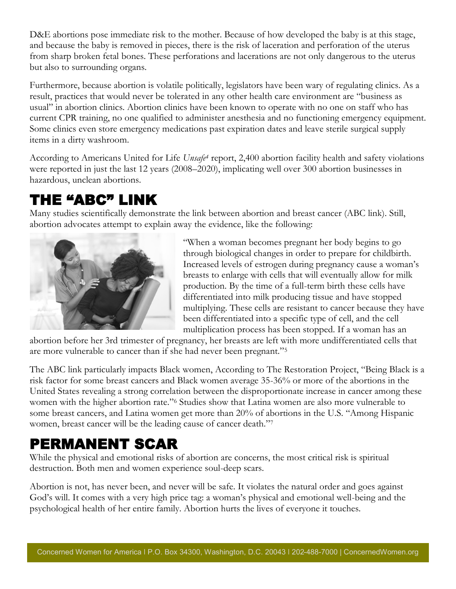D&E abortions pose immediate risk to the mother. Because of how developed the baby is at this stage, and because the baby is removed in pieces, there is the risk of laceration and perforation of the uterus from sharp broken fetal bones. These perforations and lacerations are not only dangerous to the uterus but also to surrounding organs.

Furthermore, because abortion is volatile politically, legislators have been wary of regulating clinics. As a result, practices that would never be tolerated in any other health care environment are "business as usual" in abortion clinics. Abortion clinics have been known to operate with no one on staff who has current CPR training, no one qualified to administer anesthesia and no functioning emergency equipment. Some clinics even store emergency medications past expiration dates and leave sterile surgical supply items in a dirty washroom.

According to Americans United for Life *Unsafe<sup>4</sup>* report, 2,400 abortion facility health and safety violations were reported in just the last 12 years (2008–2020), implicating well over 300 abortion businesses in hazardous, unclean abortions.

#### THE "ABC" LINK

Many studies scientifically demonstrate the link between abortion and breast cancer (ABC link). Still, abortion advocates attempt to explain away the evidence, like the following:



"When a woman becomes pregnant her body begins to go through biological changes in order to prepare for childbirth. Increased levels of estrogen during pregnancy cause a woman's breasts to enlarge with cells that will eventually allow for milk production. By the time of a full-term birth these cells have differentiated into milk producing tissue and have stopped multiplying. These cells are resistant to cancer because they have been differentiated into a specific type of cell, and the cell multiplication process has been stopped. If a woman has an

abortion before her 3rd trimester of pregnancy, her breasts are left with more undifferentiated cells that are more vulnerable to cancer than if she had never been pregnant."<sup>5</sup>

The ABC link particularly impacts Black women, According to The Restoration Project, "Being Black is a risk factor for some breast cancers and Black women average 35-36% or more of the abortions in the United States revealing a strong correlation between the disproportionate increase in cancer among these women with the higher abortion rate."<sup>6</sup> Studies show that Latina women are also more vulnerable to some breast cancers, and Latina women get more than 20% of abortions in the U.S. "Among Hispanic women, breast cancer will be the leading cause of cancer death."<sup>7</sup>

#### PERMANENT SCAR

While the physical and emotional risks of abortion are concerns, the most critical risk is spiritual destruction. Both men and women experience soul-deep scars.

Abortion is not, has never been, and never will be safe. It violates the natural order and goes against God's will. It comes with a very high price tag: a woman's physical and emotional well-being and the psychological health of her entire family. Abortion hurts the lives of everyone it touches.